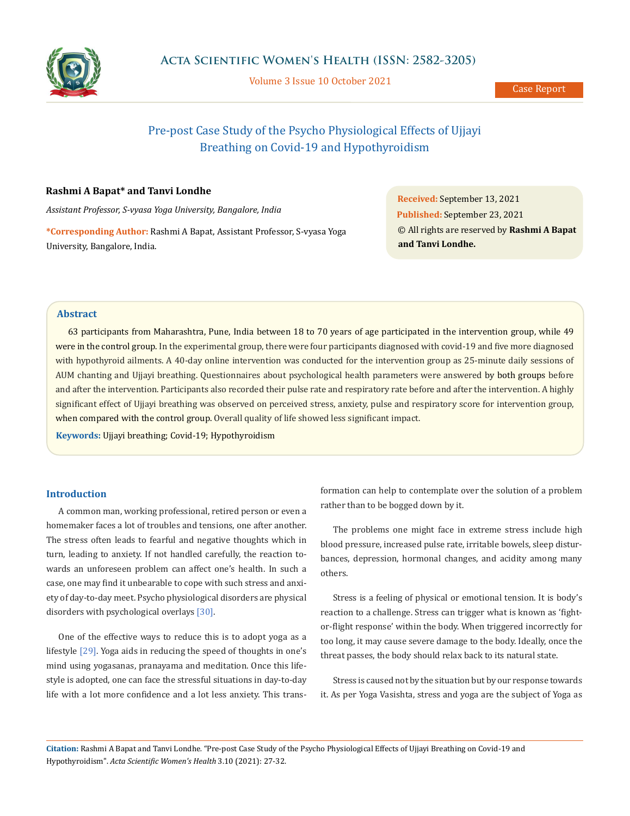

Volume 3 Issue 10 October 2021

Case Report

# Pre-post Case Study of the Psycho Physiological Effects of Ujjayi Breathing on Covid-19 and Hypothyroidism

## **Rashmi A Bapat\* and Tanvi Londhe**

*Assistant Professor, S-vyasa Yoga University, Bangalore, India*

**\*Corresponding Author:** Rashmi A Bapat, Assistant Professor, S-vyasa Yoga University, Bangalore, India.

**Received:** September 13, 2021 **Published:** September 23, 2021 © All rights are reserved by **Rashmi A Bapat and Tanvi Londhe.**

# **Abstract**

63 participants from Maharashtra, Pune, India between 18 to 70 years of age participated in the intervention group, while 49 were in the control group. In the experimental group, there were four participants diagnosed with covid-19 and five more diagnosed with hypothyroid ailments. A 40-day online intervention was conducted for the intervention group as 25-minute daily sessions of AUM chanting and Ujjayi breathing. Questionnaires about psychological health parameters were answered by both groups before and after the intervention. Participants also recorded their pulse rate and respiratory rate before and after the intervention. A highly significant effect of Ujjayi breathing was observed on perceived stress, anxiety, pulse and respiratory score for intervention group, when compared with the control group. Overall quality of life showed less significant impact.

**Keywords:** Ujjayi breathing; Covid-19; Hypothyroidism

#### **Introduction**

A common man, working professional, retired person or even a homemaker faces a lot of troubles and tensions, one after another. The stress often leads to fearful and negative thoughts which in turn, leading to anxiety. If not handled carefully, the reaction towards an unforeseen problem can affect one's health. In such a case, one may find it unbearable to cope with such stress and anxiety of day-to-day meet. Psycho physiological disorders are physical disorders with psychological overlays [30].

One of the effective ways to reduce this is to adopt yoga as a lifestyle [29]. Yoga aids in reducing the speed of thoughts in one's mind using yogasanas, pranayama and meditation. Once this lifestyle is adopted, one can face the stressful situations in day-to-day life with a lot more confidence and a lot less anxiety. This transformation can help to contemplate over the solution of a problem rather than to be bogged down by it.

The problems one might face in extreme stress include high blood pressure, increased pulse rate, irritable bowels, sleep disturbances, depression, hormonal changes, and acidity among many others.

Stress is a feeling of physical or emotional tension. It is body's reaction to a challenge. Stress can trigger what is known as 'fightor-flight response' within the body. When triggered incorrectly for too long, it may cause severe damage to the body. Ideally, once the threat passes, the body should relax back to its natural state.

Stress is caused not by the situation but by our response towards it. As per Yoga Vasishta, stress and yoga are the subject of Yoga as

**Citation:** Rashmi A Bapat and Tanvi Londhe*.* "Pre-post Case Study of the Psycho Physiological Effects of Ujjayi Breathing on Covid-19 and Hypothyroidism". *Acta Scientific Women's Health* 3.10 (2021): 27-32.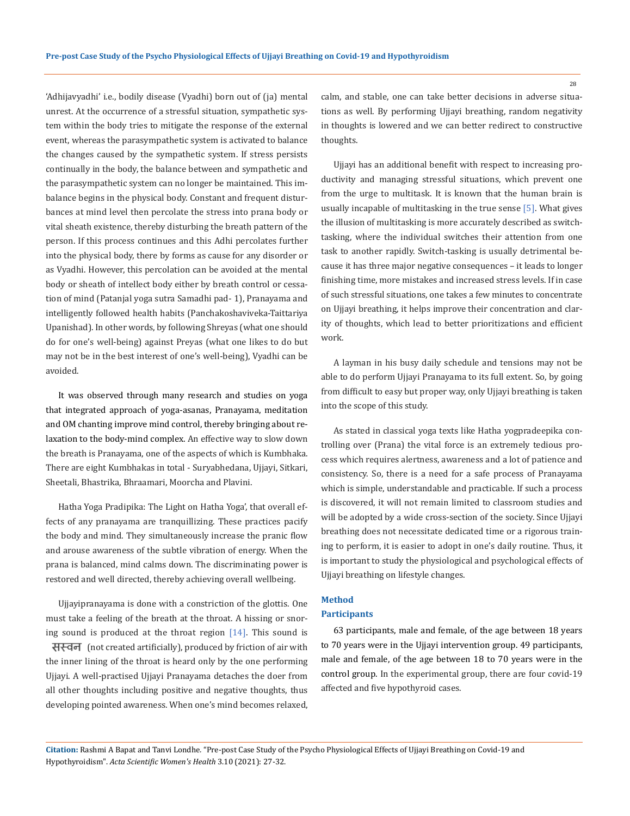'Adhijavyadhi' i.e., bodily disease (Vyadhi) born out of (ja) mental unrest. At the occurrence of a stressful situation, sympathetic system within the body tries to mitigate the response of the external event, whereas the parasympathetic system is activated to balance the changes caused by the sympathetic system. If stress persists continually in the body, the balance between and sympathetic and the parasympathetic system can no longer be maintained. This imbalance begins in the physical body. Constant and frequent disturbances at mind level then percolate the stress into prana body or vital sheath existence, thereby disturbing the breath pattern of the person. If this process continues and this Adhi percolates further into the physical body, there by forms as cause for any disorder or as Vyadhi. However, this percolation can be avoided at the mental body or sheath of intellect body either by breath control or cessation of mind (Patanjal yoga sutra Samadhi pad- 1), Pranayama and intelligently followed health habits (Panchakoshaviveka-Taittariya Upanishad). In other words, by following Shreyas (what one should do for one's well-being) against Preyas (what one likes to do but may not be in the best interest of one's well-being), Vyadhi can be avoided.

It was observed through many research and studies on yoga that integrated approach of yoga-asanas, Pranayama, meditation and OM chanting improve mind control, thereby bringing about relaxation to the body-mind complex. An effective way to slow down the breath is Pranayama, one of the aspects of which is Kumbhaka. There are eight Kumbhakas in total - Suryabhedana, Ujjayi, Sitkari, Sheetali, Bhastrika, Bhraamari, Moorcha and Plavini.

Hatha Yoga Pradipika: The Light on Hatha Yoga', that overall effects of any pranayama are tranquillizing. These practices pacify the body and mind. They simultaneously increase the pranic flow and arouse awareness of the subtle vibration of energy. When the prana is balanced, mind calms down. The discriminating power is restored and well directed, thereby achieving overall wellbeing.

Ujjayipranayama is done with a constriction of the glottis. One must take a feeling of the breath at the throat. A hissing or snoring sound is produced at the throat region  $[14]$ . This sound is

सस्वन (not created artificially), produced by friction of air with the inner lining of the throat is heard only by the one performing Ujjayi. A well-practised Ujjayi Pranayama detaches the doer from all other thoughts including positive and negative thoughts, thus developing pointed awareness. When one's mind becomes relaxed,

calm, and stable, one can take better decisions in adverse situations as well. By performing Ujjayi breathing, random negativity in thoughts is lowered and we can better redirect to constructive thoughts.

Ujjayi has an additional benefit with respect to increasing productivity and managing stressful situations, which prevent one from the urge to multitask. It is known that the human brain is usually incapable of multitasking in the true sense [5]. What gives the illusion of multitasking is more accurately described as switchtasking, where the individual switches their attention from one task to another rapidly. Switch-tasking is usually detrimental because it has three major negative consequences – it leads to longer finishing time, more mistakes and increased stress levels. If in case of such stressful situations, one takes a few minutes to concentrate on Ujjayi breathing, it helps improve their concentration and clarity of thoughts, which lead to better prioritizations and efficient work.

A layman in his busy daily schedule and tensions may not be able to do perform Ujjayi Pranayama to its full extent. So, by going from difficult to easy but proper way, only Ujjayi breathing is taken into the scope of this study.

As stated in classical yoga texts like Hatha yogpradeepika controlling over (Prana) the vital force is an extremely tedious process which requires alertness, awareness and a lot of patience and consistency. So, there is a need for a safe process of Pranayama which is simple, understandable and practicable. If such a process is discovered, it will not remain limited to classroom studies and will be adopted by a wide cross-section of the society. Since Ujjayi breathing does not necessitate dedicated time or a rigorous training to perform, it is easier to adopt in one's daily routine. Thus, it is important to study the physiological and psychological effects of Ujjayi breathing on lifestyle changes.

## **Method**

#### **Participants**

63 participants, male and female, of the age between 18 years to 70 years were in the Ujjayi intervention group. 49 participants, male and female, of the age between 18 to 70 years were in the control group. In the experimental group, there are four covid-19 affected and five hypothyroid cases.

**Citation:** Rashmi A Bapat and Tanvi Londhe*.* "Pre-post Case Study of the Psycho Physiological Effects of Ujjayi Breathing on Covid-19 and Hypothyroidism". *Acta Scientific Women's Health* 3.10 (2021): 27-32.

28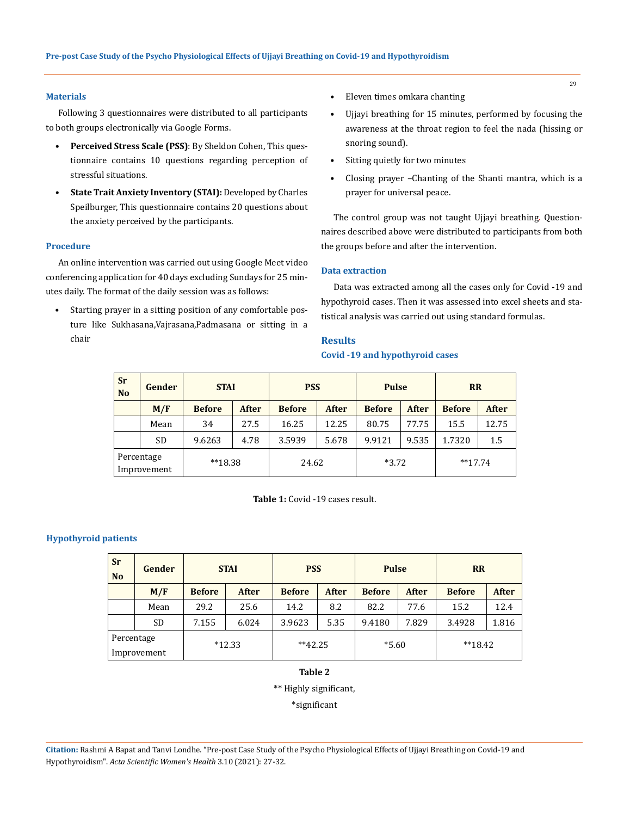### **Materials**

Following 3 questionnaires were distributed to all participants to both groups electronically via Google Forms.

- **• Perceived Stress Scale (PSS)**: By Sheldon Cohen, This questionnaire contains 10 questions regarding perception of stressful situations.
- **• State Trait Anxiety Inventory (STAI):** Developed by Charles Speilburger, This questionnaire contains 20 questions about the anxiety perceived by the participants.

## **Procedure**

An online intervention was carried out using Google Meet video conferencing application for 40 days excluding Sundays for 25 minutes daily. The format of the daily session was as follows:

• Starting prayer in a sitting position of any comfortable posture like Sukhasana,Vajrasana,Padmasana or sitting in a chair

- Eleven times omkara chanting
- Ujjayi breathing for 15 minutes, performed by focusing the awareness at the throat region to feel the nada (hissing or snoring sound).
- Sitting quietly for two minutes
- Closing prayer –Chanting of the Shanti mantra, which is a prayer for universal peace.

The control group was not taught Ujjayi breathing. Questionnaires described above were distributed to participants from both the groups before and after the intervention.

## **Data extraction**

Data was extracted among all the cases only for Covid -19 and hypothyroid cases. Then it was assessed into excel sheets and statistical analysis was carried out using standard formulas.

#### **Results**

## **Covid -19 and hypothyroid cases**

| <b>Sr</b><br><b>No</b>    | Gender    | <b>STAI</b>   |       | <b>PSS</b>    |              | <b>Pulse</b>  |              | <b>RR</b>     |              |
|---------------------------|-----------|---------------|-------|---------------|--------------|---------------|--------------|---------------|--------------|
|                           | M/F       | <b>Before</b> | After | <b>Before</b> | <b>After</b> | <b>Before</b> | <b>After</b> | <b>Before</b> | <b>After</b> |
|                           | Mean      | 34            | 27.5  | 16.25         | 12.25        | 80.75         | 77.75        | 15.5          | 12.75        |
|                           | <b>SD</b> | 9.6263        | 4.78  | 3.5939        | 5.678        | 9.9121        | 9.535        | 1.7320        | 1.5          |
| Percentage<br>Improvement |           | $**18.38$     |       | 24.62         |              | $*3.72$       |              | $**17.74$     |              |

**Table 1:** Covid -19 cases result.

## **Hypothyroid patients**

| <b>Sr</b><br>N <sub>o</sub> | Gender    | <b>STAI</b>   |              | <b>PSS</b>    |       | <b>Pulse</b>  |              | <b>RR</b>     |              |
|-----------------------------|-----------|---------------|--------------|---------------|-------|---------------|--------------|---------------|--------------|
|                             | M/F       | <b>Before</b> | <b>After</b> | <b>Before</b> | After | <b>Before</b> | <b>After</b> | <b>Before</b> | <b>After</b> |
|                             | Mean      | 29.2          | 25.6         | 14.2          | 8.2   | 82.2          | 77.6         | 15.2          | 12.4         |
|                             | <b>SD</b> | 7.155         | 6.024        | 3.9623        | 5.35  | 9.4180        | 7.829        | 3.4928        | 1.816        |
| Percentage<br>Improvement   |           | $*12.33$      |              | $**42.25$     |       | $*5.60$       |              | $**18.42$     |              |

# **Table 2**

\*\* Highly significant,

\*significant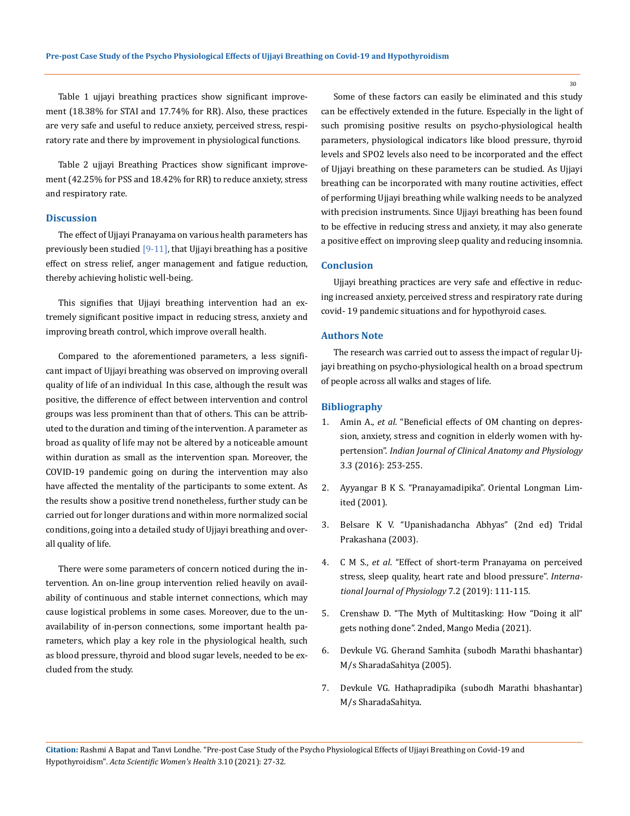Table 1 ujjayi breathing practices show significant improvement (18.38% for STAI and 17.74% for RR). Also, these practices are very safe and useful to reduce anxiety, perceived stress, respiratory rate and there by improvement in physiological functions.

Table 2 ujjayi Breathing Practices show significant improvement (42.25% for PSS and 18.42% for RR) to reduce anxiety, stress and respiratory rate.

#### **Discussion**

The effect of Ujjayi Pranayama on various health parameters has previously been studied [9-11], that Ujjayi breathing has a positive effect on stress relief, anger management and fatigue reduction, thereby achieving holistic well-being.

This signifies that Ujjayi breathing intervention had an extremely significant positive impact in reducing stress, anxiety and improving breath control, which improve overall health.

Compared to the aforementioned parameters, a less significant impact of Ujjayi breathing was observed on improving overall quality of life of an individual. In this case, although the result was positive, the difference of effect between intervention and control groups was less prominent than that of others. This can be attributed to the duration and timing of the intervention. A parameter as broad as quality of life may not be altered by a noticeable amount within duration as small as the intervention span. Moreover, the COVID-19 pandemic going on during the intervention may also have affected the mentality of the participants to some extent. As the results show a positive trend nonetheless, further study can be carried out for longer durations and within more normalized social conditions, going into a detailed study of Ujjayi breathing and overall quality of life.

There were some parameters of concern noticed during the intervention. An on-line group intervention relied heavily on availability of continuous and stable internet connections, which may cause logistical problems in some cases. Moreover, due to the unavailability of in-person connections, some important health parameters, which play a key role in the physiological health, such as blood pressure, thyroid and blood sugar levels, needed to be excluded from the study.

Some of these factors can easily be eliminated and this study can be effectively extended in the future. Especially in the light of such promising positive results on psycho-physiological health parameters, physiological indicators like blood pressure, thyroid levels and SPO2 levels also need to be incorporated and the effect of Ujjayi breathing on these parameters can be studied. As Ujjayi breathing can be incorporated with many routine activities, effect of performing Ujjayi breathing while walking needs to be analyzed with precision instruments. Since Ujjayi breathing has been found to be effective in reducing stress and anxiety, it may also generate a positive effect on improving sleep quality and reducing insomnia.

#### **Conclusion**

Ujjayi breathing practices are very safe and effective in reducing increased anxiety, perceived stress and respiratory rate during covid- 19 pandemic situations and for hypothyroid cases.

# **Authors Note**

The research was carried out to assess the impact of regular Ujjayi breathing on psycho-physiological health on a broad spectrum of people across all walks and stages of life.

#### **Bibliography**

- 1. Amin A., *et al*[. "Beneficial effects of OM chanting on depres](https://www.ipinnovative.com/journals/IJCAP/article-full-text/2476)[sion, anxiety, stress and cognition in elderly women with hy](https://www.ipinnovative.com/journals/IJCAP/article-full-text/2476)pertension". *[Indian Journal of Clinical Anatomy and Physiology](https://www.ipinnovative.com/journals/IJCAP/article-full-text/2476)* [3.3 \(2016\): 253-255.](https://www.ipinnovative.com/journals/IJCAP/article-full-text/2476)
- 2. Ayyangar B K S. "Pranayamadipika". Oriental Longman Limited (2001).
- 3. Belsare K V. "Upanishadancha Abhyas" (2nd ed) Tridal Prakashana (2003).
- 4. C M S., *et al*[. "Effect of short-term Pranayama on perceived](https://www.ijop.net/index.php/ijop/article/view/205)  [stress, sleep quality, heart rate and blood pressure".](https://www.ijop.net/index.php/ijop/article/view/205) *Interna[tional Journal of Physiology](https://www.ijop.net/index.php/ijop/article/view/205)* 7.2 (2019): 111-115.
- 5. Crenshaw D. "The Myth of Multitasking: How "Doing it all" gets nothing done". 2nded, Mango Media (2021).
- 6. Devkule VG. Gherand Samhita (subodh Marathi bhashantar) M/s SharadaSahitya (2005).
- 7. Devkule VG. Hathapradipika (subodh Marathi bhashantar) M/s SharadaSahitya.

30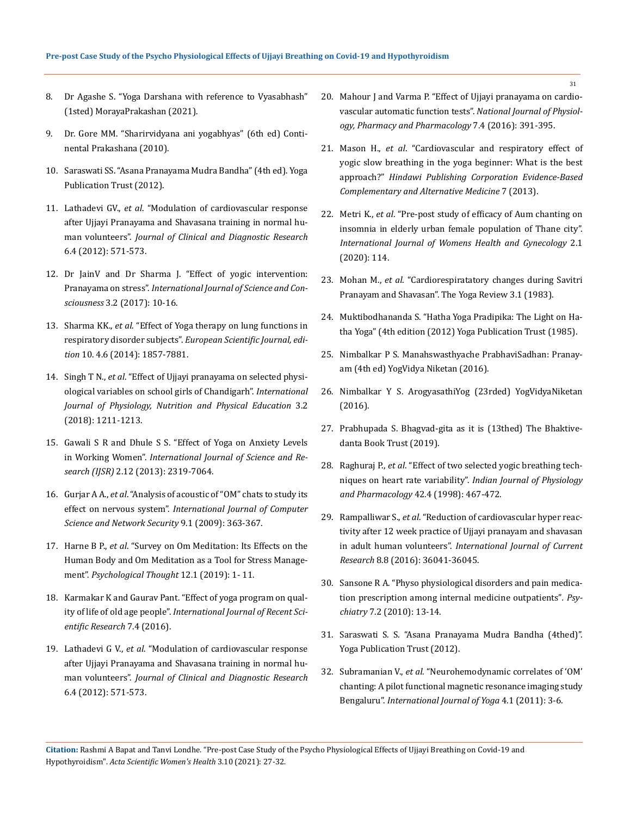- 8. Dr Agashe S. "Yoga Darshana with reference to Vyasabhash" (1sted) MorayaPrakashan (2021).
- 9. Dr. Gore MM. "Sharirvidyana ani yogabhyas" (6th ed) Continental Prakashana (2010).
- 10. Saraswati SS. "Asana Pranayama Mudra Bandha" (4th ed). Yoga Publication Trust (2012).
- 11. Lathadevi GV., *et al*[. "Modulation of cardiovascular response](https://www.jcdr.net/articles/pdf/2140/6%20-%203912.pdf)  [after Ujjayi Pranayama and Shavasana training in normal hu](https://www.jcdr.net/articles/pdf/2140/6%20-%203912.pdf)man volunteers". *[Journal of Clinical and Diagnostic Research](https://www.jcdr.net/articles/pdf/2140/6%20-%203912.pdf)* [6.4 \(2012\): 571-573.](https://www.jcdr.net/articles/pdf/2140/6%20-%203912.pdf)
- 12. Dr JainV and Dr Sharma J. "Effect of yogic intervention: Pranayama on stress". *International Journal of Science and Consciousness* 3.2 (2017): 10-16.
- 13. Sharma KK., *et al*[. "Effect of Yoga therapy on lung functions in](https://www.semanticscholar.org/paper/EFFECT-OF-YOGA-THERAPY-ON-LUNG-FUNCTIONS-IN-Sharma-Udayakumara/0b6da0d9916cf7d9f34de0cf52444de7c22c946c)  respiratory disorder subjects". *[European Scientific Journal, edi](https://www.semanticscholar.org/paper/EFFECT-OF-YOGA-THERAPY-ON-LUNG-FUNCTIONS-IN-Sharma-Udayakumara/0b6da0d9916cf7d9f34de0cf52444de7c22c946c)tion* [10. 4.6 \(2014\): 1857-7881.](https://www.semanticscholar.org/paper/EFFECT-OF-YOGA-THERAPY-ON-LUNG-FUNCTIONS-IN-Sharma-Udayakumara/0b6da0d9916cf7d9f34de0cf52444de7c22c946c)
- 14. Singh T N., *et al*[. "Effect of Ujjayi pranayama on selected physi](https://www.journalofsports.com/pdf/2018/vol3issue2/PartZ/3-2-310-133.pdf)[ological variables on school girls of Chandigarh".](https://www.journalofsports.com/pdf/2018/vol3issue2/PartZ/3-2-310-133.pdf) *International [Journal of Physiology, Nutrition and Physical Education](https://www.journalofsports.com/pdf/2018/vol3issue2/PartZ/3-2-310-133.pdf)* 3.2 [\(2018\): 1211-1213.](https://www.journalofsports.com/pdf/2018/vol3issue2/PartZ/3-2-310-133.pdf)
- 15. Gawali S R and Dhule S S. "Effect of Yoga on Anxiety Levels in Working Women". *International Journal of Science and Research (IJSR)* 2.12 (2013): 2319-7064.
- 16. Gurjar A A., *et al*. "Analysis of acoustic of "OM" chats to study its effect on nervous system". *International Journal of Computer Science and Network Security* 9.1 (2009): 363-367.
- 17. Harne B P., *et al*[. "Survey on Om Meditation: Its Effects on the](https://www.researchgate.net/publication/342513984_Survey_on_Om_Meditation_Its_Effects_on_the_Human_Body_and_Om_Meditation_as_a_Tool_for_Stress_Management)  [Human Body and Om Meditation as a Tool for Stress Manage](https://www.researchgate.net/publication/342513984_Survey_on_Om_Meditation_Its_Effects_on_the_Human_Body_and_Om_Meditation_as_a_Tool_for_Stress_Management)ment". *[Psychological Thought](https://www.researchgate.net/publication/342513984_Survey_on_Om_Meditation_Its_Effects_on_the_Human_Body_and_Om_Meditation_as_a_Tool_for_Stress_Management)* 12.1 (2019): 1- 11.
- 18. [Karmakar K and Gaurav Pant. "Effect of yoga program on qual](https://www.researchgate.net/publication/316284196_EFFECT_OF_YOGA_PROGRAMME_ON_QUALITY_OF_LIFE_OF_OLD_AGE_PEOPLE)ity of life of old age people". *[International Journal of Recent Sci](https://www.researchgate.net/publication/316284196_EFFECT_OF_YOGA_PROGRAMME_ON_QUALITY_OF_LIFE_OF_OLD_AGE_PEOPLE)[entific Research](https://www.researchgate.net/publication/316284196_EFFECT_OF_YOGA_PROGRAMME_ON_QUALITY_OF_LIFE_OF_OLD_AGE_PEOPLE)* 7.4 (2016).
- 19. Lathadevi G V., *et al*[. "Modulation of cardiovascular response](https://www.jcdr.net/articles/pdf/2140/6%20-%203912.pdf)  [after Ujjayi Pranayama and Shavasana training in normal hu](https://www.jcdr.net/articles/pdf/2140/6%20-%203912.pdf)man volunteers". *[Journal of Clinical and Diagnostic Research](https://www.jcdr.net/articles/pdf/2140/6%20-%203912.pdf)*  [6.4 \(2012\): 571-573.](https://www.jcdr.net/articles/pdf/2140/6%20-%203912.pdf)
- 20. [Mahour J and Varma P. "Effect of Ujjayi pranayama on cardio](http://njppp.com/fulltext/28-1476538333.pdf)[vascular automatic function tests".](http://njppp.com/fulltext/28-1476538333.pdf) *National Journal of Physiol[ogy, Pharmacy and Pharmacology](http://njppp.com/fulltext/28-1476538333.pdf)* 7.4 (2016): 391-395.
- 21. Mason H., *et al*[. "Cardiovascular and respiratory effect of](https://www.hindawi.com/journals/ecam/2013/743504/)  [yogic slow breathing in the yoga beginner: What is the best](https://www.hindawi.com/journals/ecam/2013/743504/)  approach?" *[Hindawi Publishing Corporation Evidence-Based](https://www.hindawi.com/journals/ecam/2013/743504/)  [Complementary and Alternative Medicine](https://www.hindawi.com/journals/ecam/2013/743504/)* 7 (2013).
- 22. Metri K., *et al*[. "Pre-post study of efficacy of Aum chanting on](https://www.researchgate.net/publication/340827691_Pre-Post_Study_of_Efficacy_of_Aum_Chanting_on_Insomnia_in_Elderly_Urban_Female_Population_of_Thane_City)  [insomnia in elderly urban female population of Thane city".](https://www.researchgate.net/publication/340827691_Pre-Post_Study_of_Efficacy_of_Aum_Chanting_on_Insomnia_in_Elderly_Urban_Female_Population_of_Thane_City)  *[International Journal of Womens Health and Gynecology](https://www.researchgate.net/publication/340827691_Pre-Post_Study_of_Efficacy_of_Aum_Chanting_on_Insomnia_in_Elderly_Urban_Female_Population_of_Thane_City)* 2.1 [\(2020\): 114.](https://www.researchgate.net/publication/340827691_Pre-Post_Study_of_Efficacy_of_Aum_Chanting_on_Insomnia_in_Elderly_Urban_Female_Population_of_Thane_City)
- 23. Mohan M., *et al*. "Cardiorespiratatory changes during Savitri Pranayam and Shavasan". The Yoga Review 3.1 (1983).
- 24. Muktibodhananda S. "Hatha Yoga Pradipika: The Light on Hatha Yoga" (4th edition (2012) Yoga Publication Trust (1985).
- 25. Nimbalkar P S. Manahswasthyache PrabhaviSadhan: Pranayam (4th ed) YogVidya Niketan (2016).
- 26. Nimbalkar Y S. ArogyasathiYog (23rded) YogVidyaNiketan (2016).
- 27. Prabhupada S. Bhagvad-gita as it is (13thed) The Bhaktivedanta Book Trust (2019).
- 28. Raghuraj P., *et al*[. "Effect of two selected yogic breathing tech](https://pubmed.ncbi.nlm.nih.gov/10874345/)niques on heart rate variability". *[Indian Journal of Physiology](https://pubmed.ncbi.nlm.nih.gov/10874345/)  [and Pharmacology](https://pubmed.ncbi.nlm.nih.gov/10874345/)* 42.4 (1998): 467-472.
- 29. Rampalliwar S., *et al*[. "Reduction of cardiovascular hyper reac](https://www.journalcra.com/article/reduction-cardiovascular-hyper-reactivity-after-12-week-practice-ujjayi-pranayam-and)[tivity after 12 week practice of Ujjayi pranayam and shavasan](https://www.journalcra.com/article/reduction-cardiovascular-hyper-reactivity-after-12-week-practice-ujjayi-pranayam-and)  in adult human volunteers". *[International Journal of Current](https://www.journalcra.com/article/reduction-cardiovascular-hyper-reactivity-after-12-week-practice-ujjayi-pranayam-and)  Research* [8.8 \(2016\): 36041-36045.](https://www.journalcra.com/article/reduction-cardiovascular-hyper-reactivity-after-12-week-practice-ujjayi-pranayam-and)
- 30. [Sansone R A. "Physo physiological disorders and pain medica](https://www.ncbi.nlm.nih.gov/pmc/articles/PMC2848470/)[tion prescription among internal medicine outpatients"](https://www.ncbi.nlm.nih.gov/pmc/articles/PMC2848470/)*. Psychiatry* [7.2 \(2010\): 13-14.](https://www.ncbi.nlm.nih.gov/pmc/articles/PMC2848470/)
- 31. Saraswati S. S. "Asana Pranayama Mudra Bandha (4thed)". Yoga Publication Trust (2012).
- 32. Subramanian V., *et al*. "Neurohemodynamic correlates of 'OM' chanting: A pilot functional magnetic resonance imaging study Bengaluru". *International Journal of Yoga* 4.1 (2011): 3-6.

**Citation:** Rashmi A Bapat and Tanvi Londhe*.* "Pre-post Case Study of the Psycho Physiological Effects of Ujjayi Breathing on Covid-19 and Hypothyroidism". *Acta Scientific Women's Health* 3.10 (2021): 27-32.

31